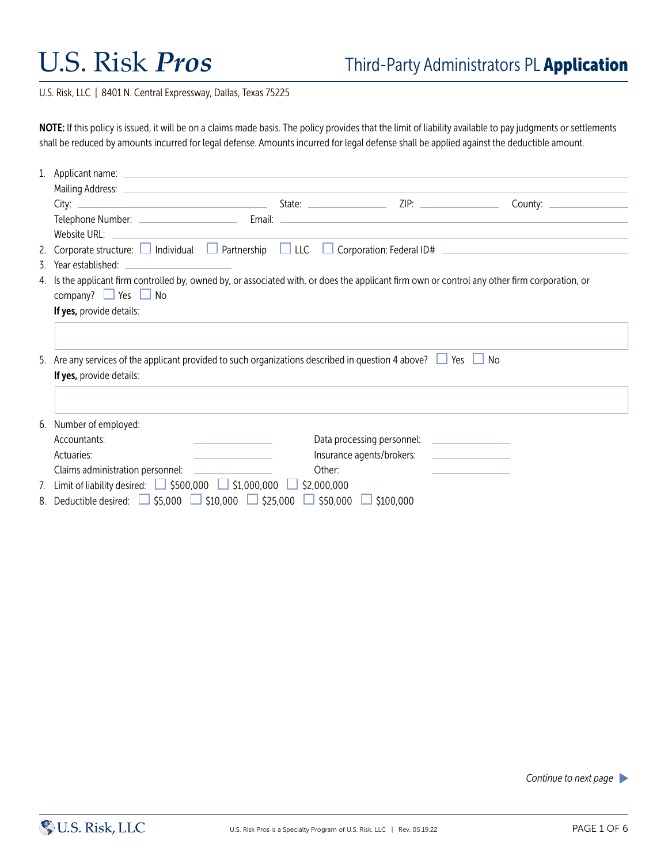U.S. Risk, LLC | 8401 N. Central Expressway, Dallas, Texas 75225

NOTE: If this policy is issued, it will be on a claims made basis. The policy provides that the limit of liability available to pay judgments or settlements shall be reduced by amounts incurred for legal defense. Amounts incurred for legal defense shall be applied against the deductible amount.

| Website URL:                                                                                                                                                                    |  |                           |  |  |  |
|---------------------------------------------------------------------------------------------------------------------------------------------------------------------------------|--|---------------------------|--|--|--|
| 2. Corporate structure: $\Box$ Individual $\Box$ Partnership $\Box$ LLC $\Box$ Corporation: Federal ID# $\Box$ Determination: Federal ID#                                       |  |                           |  |  |  |
| 3. Year established:                                                                                                                                                            |  |                           |  |  |  |
| 4. Is the applicant firm controlled by, owned by, or associated with, or does the applicant firm own or control any other firm corporation, or<br>company? $\Box$ Yes $\Box$ No |  |                           |  |  |  |
| If yes, provide details:                                                                                                                                                        |  |                           |  |  |  |
| 5. Are any services of the applicant provided to such organizations described in question 4 above? $\Box$ Yes $\Box$<br>- No<br>If yes, provide details:                        |  |                           |  |  |  |
| 6. Number of employed:                                                                                                                                                          |  |                           |  |  |  |
| Accountants:                                                                                                                                                                    |  |                           |  |  |  |
| Actuaries:                                                                                                                                                                      |  | Insurance agents/brokers: |  |  |  |
| Claims administration personnel:                                                                                                                                                |  | Other:                    |  |  |  |
| 7. Limit of liability desired: $\Box$ \$500,000 $\Box$ \$1,000,000 $\Box$ \$2,000,000                                                                                           |  |                           |  |  |  |
| 8. Deductible desired: $\Box$ \$5,000 $\Box$ \$10,000 $\Box$ \$25,000 $\Box$ \$50,000                                                                                           |  | \$100,000                 |  |  |  |

*Continue to next page*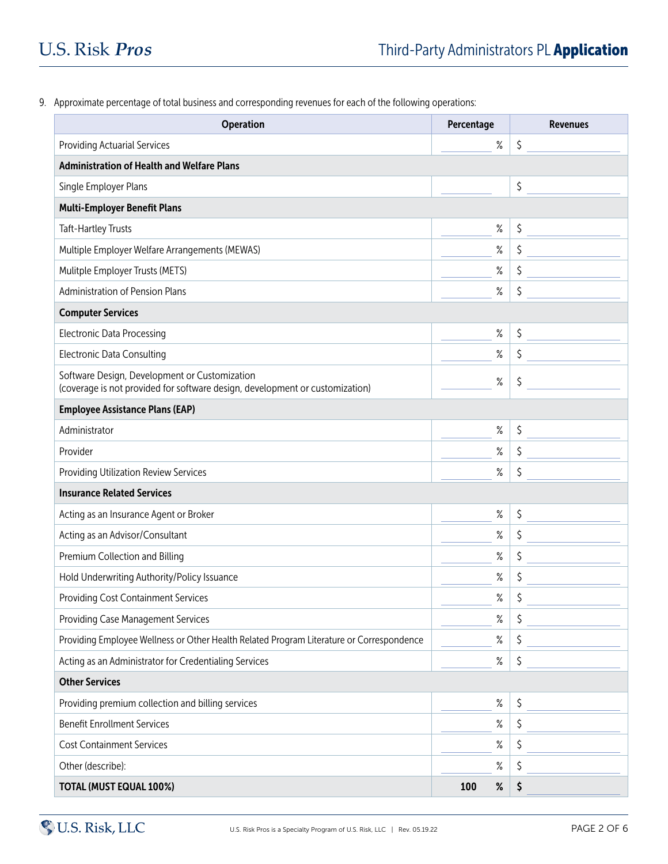9. Approximate percentage of total business and corresponding revenues for each of the following operations:

| <b>Operation</b>                                                                                                              | Percentage  | <b>Revenues</b> |  |  |
|-------------------------------------------------------------------------------------------------------------------------------|-------------|-----------------|--|--|
| <b>Providing Actuarial Services</b>                                                                                           | $\%$        | \$              |  |  |
| <b>Administration of Health and Welfare Plans</b>                                                                             |             |                 |  |  |
| Single Employer Plans                                                                                                         |             | \$              |  |  |
| <b>Multi-Employer Benefit Plans</b>                                                                                           |             |                 |  |  |
| <b>Taft-Hartley Trusts</b>                                                                                                    | ℅           | \$              |  |  |
| Multiple Employer Welfare Arrangements (MEWAS)                                                                                | $\%$        | \$              |  |  |
| Mulitple Employer Trusts (METS)                                                                                               | $\%$        | \$              |  |  |
| <b>Administration of Pension Plans</b>                                                                                        | ℅           | \$              |  |  |
| <b>Computer Services</b>                                                                                                      |             |                 |  |  |
| <b>Electronic Data Processing</b>                                                                                             | ℅           | \$              |  |  |
| <b>Electronic Data Consulting</b>                                                                                             | $\%$        | \$              |  |  |
| Software Design, Development or Customization<br>(coverage is not provided for software design, development or customization) | $\%$        | \$              |  |  |
| <b>Employee Assistance Plans (EAP)</b>                                                                                        |             |                 |  |  |
| Administrator                                                                                                                 | $\%$        | \$              |  |  |
| Provider                                                                                                                      | $\%$        | \$              |  |  |
| Providing Utilization Review Services                                                                                         | $\%$        | \$              |  |  |
| <b>Insurance Related Services</b>                                                                                             |             |                 |  |  |
| Acting as an Insurance Agent or Broker                                                                                        | $\%$        | \$              |  |  |
| Acting as an Advisor/Consultant                                                                                               | $\%$        | \$              |  |  |
| Premium Collection and Billing                                                                                                | $\%$        | \$              |  |  |
| Hold Underwriting Authority/Policy Issuance                                                                                   | $\%$        | \$              |  |  |
| <b>Providing Cost Containment Services</b>                                                                                    | $\%$        | \$              |  |  |
| <b>Providing Case Management Services</b>                                                                                     | $\%$        | \$              |  |  |
| Providing Employee Wellness or Other Health Related Program Literature or Correspondence                                      | $\%$        | \$              |  |  |
| Acting as an Administrator for Credentialing Services                                                                         | $\%$        | \$              |  |  |
| <b>Other Services</b>                                                                                                         |             |                 |  |  |
| Providing premium collection and billing services                                                                             | $\%$        | \$              |  |  |
| <b>Benefit Enrollment Services</b>                                                                                            | $\%$        | \$              |  |  |
| <b>Cost Containment Services</b>                                                                                              | $\%$        | \$              |  |  |
| Other (describe):                                                                                                             | ℅           | \$              |  |  |
| <b>TOTAL (MUST EQUAL 100%)</b>                                                                                                | $\%$<br>100 | \$              |  |  |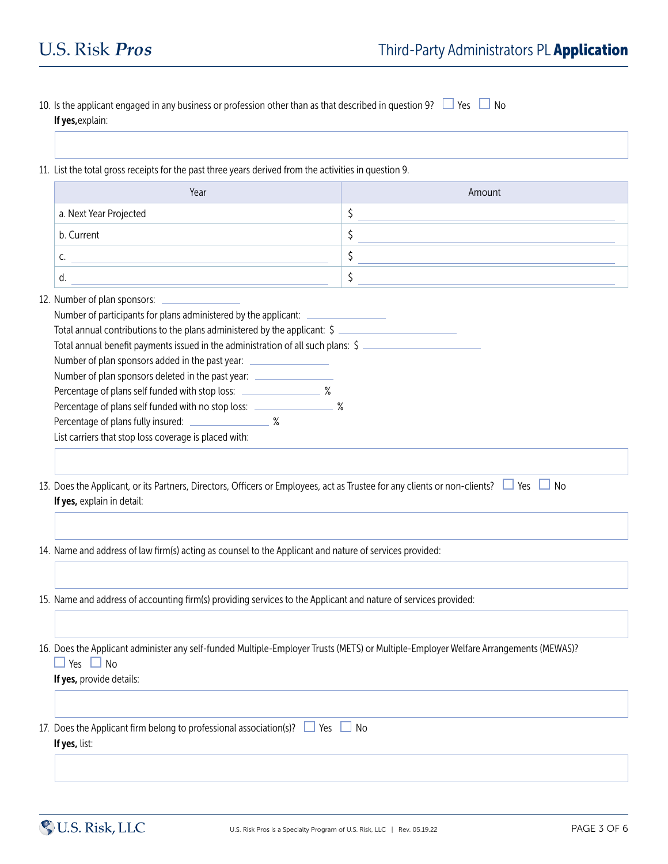| 11. List the total gross receipts for the past three years derived from the activities in question 9.                                                                                                                                                                                                                                                                                                                                             |                                                                                                                                                   |  |
|---------------------------------------------------------------------------------------------------------------------------------------------------------------------------------------------------------------------------------------------------------------------------------------------------------------------------------------------------------------------------------------------------------------------------------------------------|---------------------------------------------------------------------------------------------------------------------------------------------------|--|
| Year                                                                                                                                                                                                                                                                                                                                                                                                                                              | Amount                                                                                                                                            |  |
| a. Next Year Projected                                                                                                                                                                                                                                                                                                                                                                                                                            | \$                                                                                                                                                |  |
| b. Current                                                                                                                                                                                                                                                                                                                                                                                                                                        | \$                                                                                                                                                |  |
| C.<br><u> 1989 - Johann Stein, mars an de Brazilia (b. 1989)</u>                                                                                                                                                                                                                                                                                                                                                                                  | \$                                                                                                                                                |  |
| d.<br><u> 1980 - Johann Barn, amerikan bestemannten bestemannten bestemannten bestemannten bestemannten bestemannten b</u>                                                                                                                                                                                                                                                                                                                        | \$                                                                                                                                                |  |
| Number of plan sponsors added in the past year: ________________________________<br>Number of plan sponsors deleted in the past year: ______________________________<br>Percentage of plans self funded with stop loss: _____________________ %<br>Percentage of plans self funded with no stop loss: ____________________ %<br>Percentage of plans fully insured: ___________________ %<br>List carriers that stop loss coverage is placed with: |                                                                                                                                                   |  |
| If yes, explain in detail:<br>14. Name and address of law firm(s) acting as counsel to the Applicant and nature of services provided:                                                                                                                                                                                                                                                                                                             | 13. Does the Applicant, or its Partners, Directors, Officers or Employees, act as Trustee for any clients or non-clients? $\Box$ Yes $\Box$<br>No |  |
|                                                                                                                                                                                                                                                                                                                                                                                                                                                   |                                                                                                                                                   |  |
| 15. Name and address of accounting firm(s) providing services to the Applicant and nature of services provided:                                                                                                                                                                                                                                                                                                                                   |                                                                                                                                                   |  |
| Yes $\Box$ No<br>If yes, provide details:                                                                                                                                                                                                                                                                                                                                                                                                         | 16. Does the Applicant administer any self-funded Multiple-Employer Trusts (METS) or Multiple-Employer Welfare Arrangements (MEWAS)?              |  |
| 17. Does the Applicant firm belong to professional association(s)? $\Box$ Yes<br>If yes, list:                                                                                                                                                                                                                                                                                                                                                    | $\Box$ No                                                                                                                                         |  |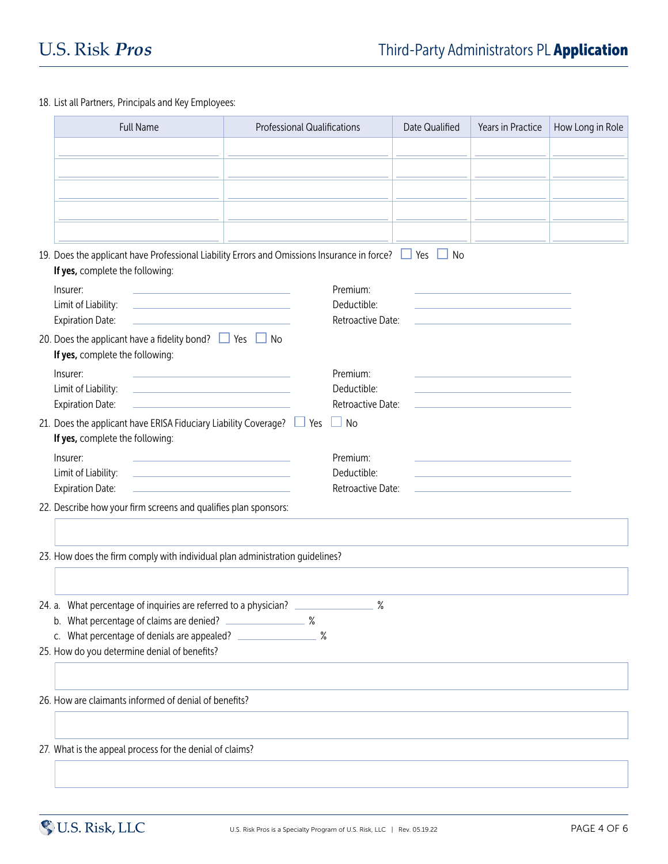## 18. List all Partners, Principals and Key Employees:

| <b>Full Name</b>                                                                                                                                                                | <b>Professional Qualifications</b>                                                          | Date Qualified | Years in Practice | How Long in Role |
|---------------------------------------------------------------------------------------------------------------------------------------------------------------------------------|---------------------------------------------------------------------------------------------|----------------|-------------------|------------------|
|                                                                                                                                                                                 |                                                                                             |                |                   |                  |
|                                                                                                                                                                                 |                                                                                             |                |                   |                  |
|                                                                                                                                                                                 |                                                                                             |                |                   |                  |
|                                                                                                                                                                                 |                                                                                             |                |                   |                  |
|                                                                                                                                                                                 | 19. Does the applicant have Professional Liability Errors and Omissions Insurance in force? | $\Box$ No      |                   |                  |
| If yes, complete the following:                                                                                                                                                 |                                                                                             |                |                   |                  |
| Insurer:<br>the control of the control of the control of the control of the control of                                                                                          | Premium:                                                                                    |                |                   |                  |
| Limit of Liability:<br><u> 1989 - Johann Stein, markinsk politik (</u><br><b>Expiration Date:</b><br>the control of the control of the control of the control of the control of | Deductible:<br>Retroactive Date:                                                            |                |                   |                  |
| 20. Does the applicant have a fidelity bond? $\Box$ Yes $\Box$ No                                                                                                               |                                                                                             |                |                   |                  |
| If yes, complete the following:                                                                                                                                                 |                                                                                             |                |                   |                  |
| Insurer:                                                                                                                                                                        | Premium:<br>Deductible:                                                                     |                |                   |                  |
| Limit of Liability:<br><u> 1990 - Johann Barbara, martin amerikan ba</u><br><b>Expiration Date:</b><br><u> 1989 - Johann Barbara, martxa alemaniar a</u>                        | Retroactive Date:                                                                           |                |                   |                  |
| 21. Does the applicant have ERISA Fiduciary Liability Coverage? $\Box$ Yes<br>If yes, complete the following:                                                                   | $\Box$ No                                                                                   |                |                   |                  |
| Insurer:<br>the control of the control of the control of the control of                                                                                                         | Premium:                                                                                    |                |                   |                  |
| Limit of Liability:<br><u> 1989 - Johann Stein, markinsk politik (</u><br><b>Expiration Date:</b>                                                                               | Deductible:<br>Retroactive Date:                                                            |                |                   |                  |
| 22. Describe how your firm screens and qualifies plan sponsors:                                                                                                                 |                                                                                             |                |                   |                  |
| 23. How does the firm comply with individual plan administration guidelines?                                                                                                    |                                                                                             |                |                   |                  |
|                                                                                                                                                                                 |                                                                                             |                |                   |                  |
| 24. a. What percentage of inquiries are referred to a physician?                                                                                                                | $\%$                                                                                        |                |                   |                  |
| b. What percentage of claims are denied?                                                                                                                                        | $\sim$ $\sim$ $\sim$                                                                        |                |                   |                  |
| c. What percentage of denials are appealed?<br>25. How do you determine denial of benefits?                                                                                     | $\%$                                                                                        |                |                   |                  |
|                                                                                                                                                                                 |                                                                                             |                |                   |                  |
| 26. How are claimants informed of denial of benefits?                                                                                                                           |                                                                                             |                |                   |                  |
|                                                                                                                                                                                 |                                                                                             |                |                   |                  |
| 27. What is the appeal process for the denial of claims?                                                                                                                        |                                                                                             |                |                   |                  |
|                                                                                                                                                                                 |                                                                                             |                |                   |                  |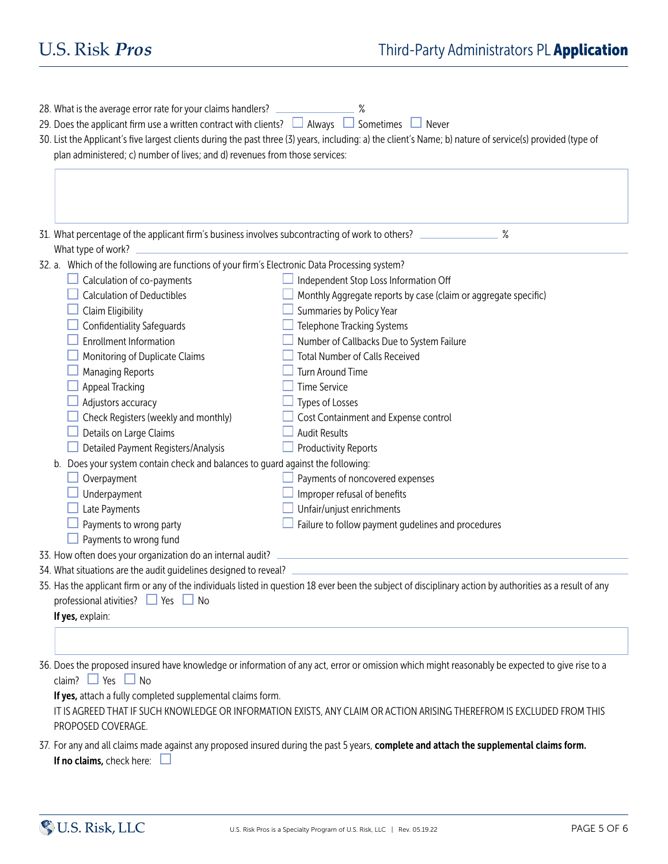| 28. What is the average error rate for your claims handlers?<br>29. Does the applicant firm use a written contract with clients? $\Box$ Always $\Box$ Sometimes $\Box$ Never<br>plan administered; c) number of lives; and d) revenues from those services: | 30. List the Applicant's five largest clients during the past three (3) years, including: a) the client's Name; b) nature of service(s) provided (type of |  |  |  |
|-------------------------------------------------------------------------------------------------------------------------------------------------------------------------------------------------------------------------------------------------------------|-----------------------------------------------------------------------------------------------------------------------------------------------------------|--|--|--|
| What type of work?                                                                                                                                                                                                                                          | 31. What percentage of the applicant firm's business involves subcontracting of work to others? ______________<br>%                                       |  |  |  |
| 32. a. Which of the following are functions of your firm's Electronic Data Processing system?                                                                                                                                                               |                                                                                                                                                           |  |  |  |
| Calculation of co-payments                                                                                                                                                                                                                                  | Independent Stop Loss Information Off                                                                                                                     |  |  |  |
| <b>Calculation of Deductibles</b>                                                                                                                                                                                                                           | Monthly Aggregate reports by case (claim or aggregate specific)                                                                                           |  |  |  |
| Claim Eligibility                                                                                                                                                                                                                                           | Summaries by Policy Year                                                                                                                                  |  |  |  |
| Confidentiality Safeguards                                                                                                                                                                                                                                  | Telephone Tracking Systems                                                                                                                                |  |  |  |
| <b>Enrollment Information</b>                                                                                                                                                                                                                               | Number of Callbacks Due to System Failure                                                                                                                 |  |  |  |
| Monitoring of Duplicate Claims                                                                                                                                                                                                                              | <b>Total Number of Calls Received</b>                                                                                                                     |  |  |  |
| <b>Managing Reports</b>                                                                                                                                                                                                                                     | Turn Around Time                                                                                                                                          |  |  |  |
| <b>Appeal Tracking</b>                                                                                                                                                                                                                                      | <b>Time Service</b>                                                                                                                                       |  |  |  |
| Adjustors accuracy                                                                                                                                                                                                                                          | Types of Losses                                                                                                                                           |  |  |  |
| Check Registers (weekly and monthly)                                                                                                                                                                                                                        | Cost Containment and Expense control                                                                                                                      |  |  |  |
| Details on Large Claims                                                                                                                                                                                                                                     | <b>Audit Results</b>                                                                                                                                      |  |  |  |
| Detailed Payment Registers/Analysis                                                                                                                                                                                                                         | <b>Productivity Reports</b>                                                                                                                               |  |  |  |
|                                                                                                                                                                                                                                                             | b. Does your system contain check and balances to guard against the following:                                                                            |  |  |  |
| Overpayment                                                                                                                                                                                                                                                 | Payments of noncovered expenses                                                                                                                           |  |  |  |
| Underpayment                                                                                                                                                                                                                                                | Improper refusal of benefits                                                                                                                              |  |  |  |
| Late Payments                                                                                                                                                                                                                                               | Unfair/unjust enrichments                                                                                                                                 |  |  |  |
| Payments to wrong party                                                                                                                                                                                                                                     | Failure to follow payment gudelines and procedures                                                                                                        |  |  |  |
| Payments to wrong fund                                                                                                                                                                                                                                      |                                                                                                                                                           |  |  |  |
| 33. How often does your organization do an internal audit?                                                                                                                                                                                                  |                                                                                                                                                           |  |  |  |
| 34. What situations are the audit guidelines designed to reveal?                                                                                                                                                                                            |                                                                                                                                                           |  |  |  |
| professional ativities? $\Box$ Yes $\Box$ No<br>If yes, explain:                                                                                                                                                                                            | 35. Has the applicant firm or any of the individuals listed in question 18 ever been the subject of disciplinary action by authorities as a result of any |  |  |  |
|                                                                                                                                                                                                                                                             |                                                                                                                                                           |  |  |  |
| claim? $\Box$ Yes $\Box$ No<br>If yes, attach a fully completed supplemental claims form.                                                                                                                                                                   | 36. Does the proposed insured have knowledge or information of any act, error or omission which might reasonably be expected to give rise to a            |  |  |  |
| PROPOSED COVERAGE.                                                                                                                                                                                                                                          | IT IS AGREED THAT IF SUCH KNOWLEDGE OR INFORMATION EXISTS, ANY CLAIM OR ACTION ARISING THEREFROM IS EXCLUDED FROM THIS                                    |  |  |  |

37. For any and all claims made against any proposed insured during the past 5 years, complete and attach the supplemental claims form. If no claims, check here:  $\square$